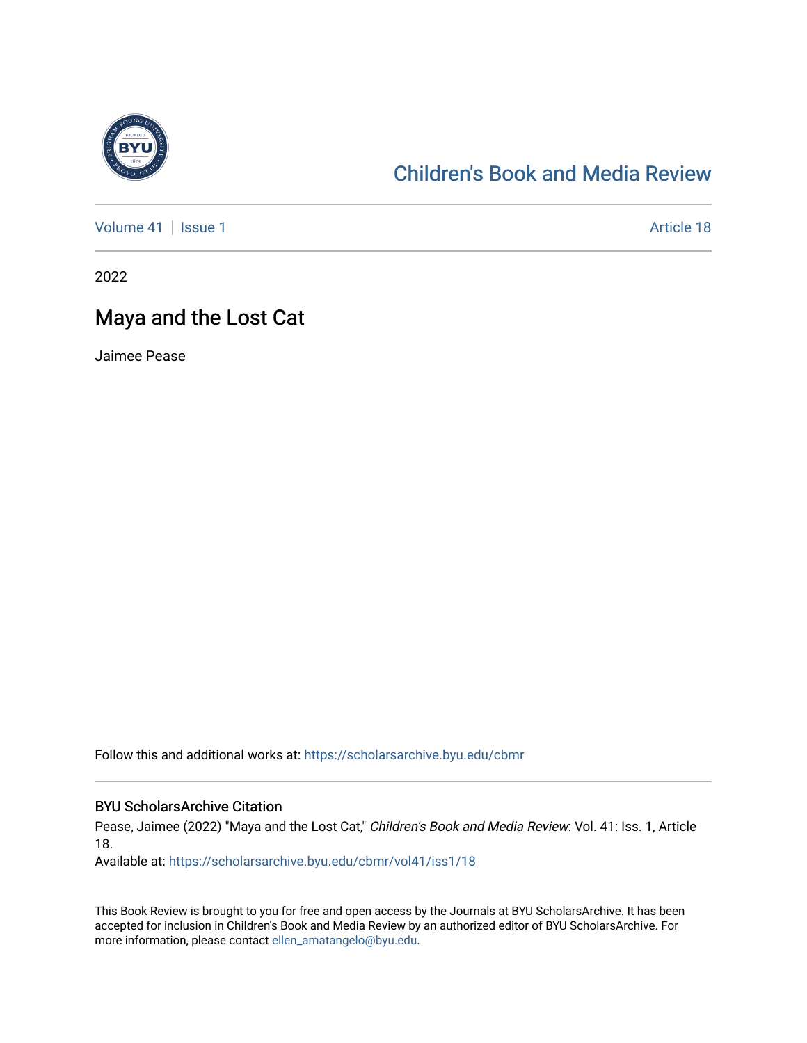

#### [Children's Book and Media Review](https://scholarsarchive.byu.edu/cbmr)

[Volume 41](https://scholarsarchive.byu.edu/cbmr/vol41) | [Issue 1](https://scholarsarchive.byu.edu/cbmr/vol41/iss1) Article 18

2022

#### Maya and the Lost Cat

Jaimee Pease

Follow this and additional works at: [https://scholarsarchive.byu.edu/cbmr](https://scholarsarchive.byu.edu/cbmr?utm_source=scholarsarchive.byu.edu%2Fcbmr%2Fvol41%2Fiss1%2F18&utm_medium=PDF&utm_campaign=PDFCoverPages) 

#### BYU ScholarsArchive Citation

Pease, Jaimee (2022) "Maya and the Lost Cat," Children's Book and Media Review: Vol. 41: Iss. 1, Article 18.

Available at: [https://scholarsarchive.byu.edu/cbmr/vol41/iss1/18](https://scholarsarchive.byu.edu/cbmr/vol41/iss1/18?utm_source=scholarsarchive.byu.edu%2Fcbmr%2Fvol41%2Fiss1%2F18&utm_medium=PDF&utm_campaign=PDFCoverPages)

This Book Review is brought to you for free and open access by the Journals at BYU ScholarsArchive. It has been accepted for inclusion in Children's Book and Media Review by an authorized editor of BYU ScholarsArchive. For more information, please contact [ellen\\_amatangelo@byu.edu.](mailto:ellen_amatangelo@byu.edu)